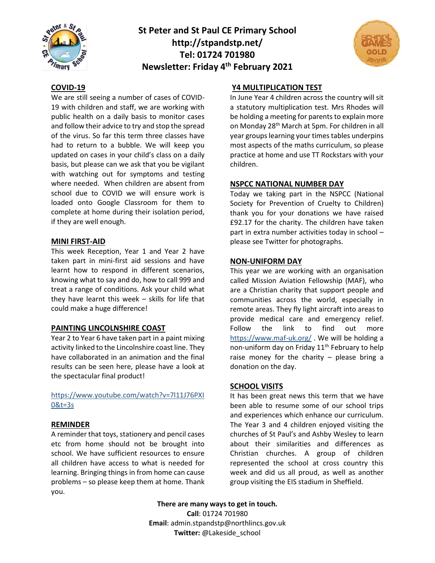

## **St Peter and St Paul CE Primary School http://stpandstp.net/ Tel: 01724 701980 Newsletter: Friday 4th February 2021**



#### **COVID-19**

We are still seeing a number of cases of COVID-19 with children and staff, we are working with public health on a daily basis to monitor cases and follow their advice to try and stop the spread of the virus. So far this term three classes have had to return to a bubble. We will keep you updated on cases in your child's class on a daily basis, but please can we ask that you be vigilant with watching out for symptoms and testing where needed. When children are absent from school due to COVID we will ensure work is loaded onto Google Classroom for them to complete at home during their isolation period, if they are well enough.

#### **MINI FIRST-AID**

This week Reception, Year 1 and Year 2 have taken part in mini-first aid sessions and have learnt how to respond in different scenarios, knowing what to say and do, how to call 999 and treat a range of conditions. Ask your child what they have learnt this week – skills for life that could make a huge difference!

#### **PAINTING LINCOLNSHIRE COAST**

Year 2 to Year 6 have taken part in a paint mixing activity linked to the Lincolnshire coast line. They have collaborated in an animation and the final results can be seen here, please have a look at the spectacular final product!

## [https://www.youtube.com/watch?v=7l11J76PXI](https://www.youtube.com/watch?v=7l11J76PXI0&t=3s) [0&t=3s](https://www.youtube.com/watch?v=7l11J76PXI0&t=3s)

## **REMINDER**

A reminder that toys, stationery and pencil cases etc from home should not be brought into school. We have sufficient resources to ensure all children have access to what is needed for learning. Bringing things in from home can cause problems – so please keep them at home. Thank you.

## **Y4 MULTIPLICATION TEST**

In June Year 4 children across the country will sit a statutory multiplication test. Mrs Rhodes will be holding a meeting for parents to explain more on Monday 28<sup>th</sup> March at 5pm. For children in all year groups learning your times tables underpins most aspects of the maths curriculum, so please practice at home and use TT Rockstars with your children.

## **NSPCC NATIONAL NUMBER DAY**

Today we taking part in the NSPCC (National Society for Prevention of Cruelty to Children) thank you for your donations we have raised £92.17 for the charity. The children have taken part in extra number activities today in school – please see Twitter for photographs.

#### **NON-UNIFORM DAY**

This year we are working with an organisation called Mission Aviation Fellowship (MAF), who are a Christian charity that support people and communities across the world, especially in remote areas. They fly light aircraft into areas to provide medical care and emergency relief. Follow the link to find out more <https://www.maf-uk.org/> . We will be holding a non-uniform day on Friday 11<sup>th</sup> February to help raise money for the charity  $-$  please bring a donation on the day.

#### **SCHOOL VISITS**

It has been great news this term that we have been able to resume some of our school trips and experiences which enhance our curriculum. The Year 3 and 4 children enjoyed visiting the churches of St Paul's and Ashby Wesley to learn about their similarities and differences as Christian churches. A group of children represented the school at cross country this week and did us all proud, as well as another group visiting the EIS stadium in Sheffield.

**There are many ways to get in touch. Call**: 01724 701980 **Email**: admin.stpandstp@northlincs.gov.uk **Twitter:** @Lakeside\_school